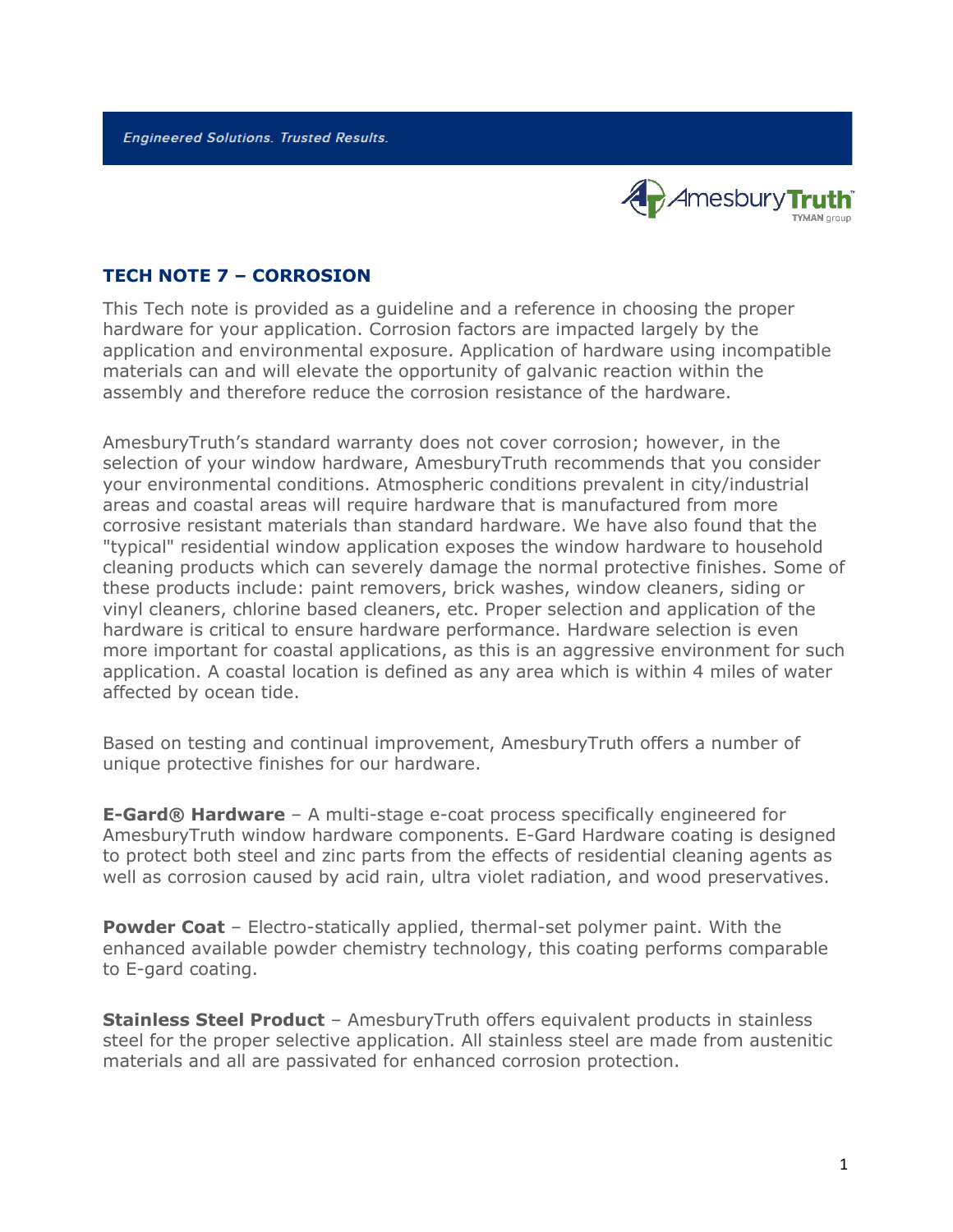**Engineered Solutions. Trusted Results.** 



## **TECH NOTE 7 – CORROSION**

This Tech note is provided as a guideline and a reference in choosing the proper hardware for your application. Corrosion factors are impacted largely by the application and environmental exposure. Application of hardware using incompatible materials can and will elevate the opportunity of galvanic reaction within the assembly and therefore reduce the corrosion resistance of the hardware.

AmesburyTruth's standard warranty does not cover corrosion; however, in the selection of your window hardware, AmesburyTruth recommends that you consider your environmental conditions. Atmospheric conditions prevalent in city/industrial areas and coastal areas will require hardware that is manufactured from more corrosive resistant materials than standard hardware. We have also found that the "typical" residential window application exposes the window hardware to household cleaning products which can severely damage the normal protective finishes. Some of these products include: paint removers, brick washes, window cleaners, siding or vinyl cleaners, chlorine based cleaners, etc. Proper selection and application of the hardware is critical to ensure hardware performance. Hardware selection is even more important for coastal applications, as this is an aggressive environment for such application. A coastal location is defined as any area which is within 4 miles of water affected by ocean tide.

Based on testing and continual improvement, AmesburyTruth offers a number of unique protective finishes for our hardware.

**E-Gard® Hardware** – A multi-stage e-coat process specifically engineered for AmesburyTruth window hardware components. E-Gard Hardware coating is designed to protect both steel and zinc parts from the effects of residential cleaning agents as well as corrosion caused by acid rain, ultra violet radiation, and wood preservatives.

**Powder Coat** – Electro-statically applied, thermal-set polymer paint. With the enhanced available powder chemistry technology, this coating performs comparable to E-gard coating.

**Stainless Steel Product** – AmesburyTruth offers equivalent products in stainless steel for the proper selective application. All stainless steel are made from austenitic materials and all are passivated for enhanced corrosion protection.